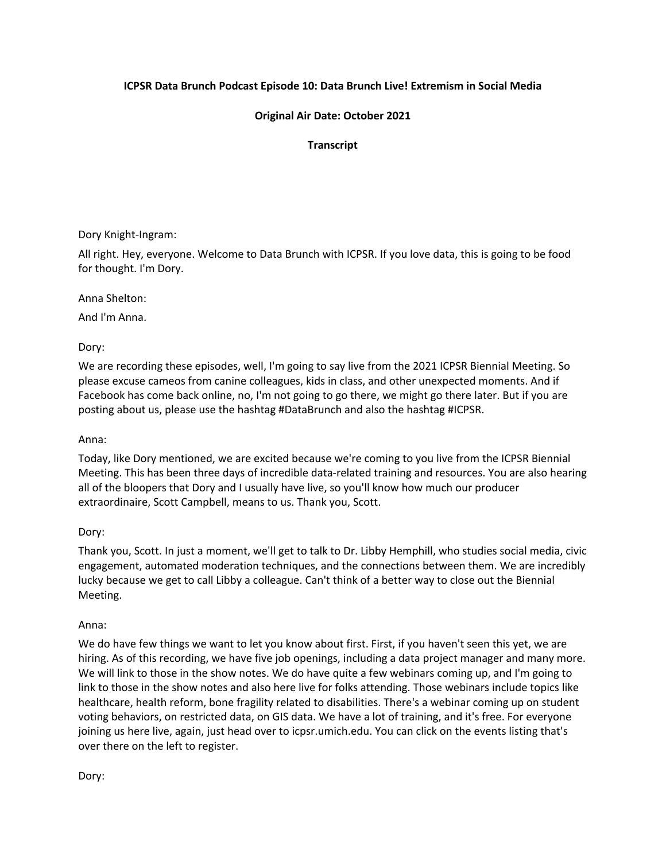## **ICPSR Data Brunch Podcast Episode 10: Data Brunch Live! Extremism in Social Media**

## **Original Air Date: October 2021**

#### **Transcript**

Dory Knight-Ingram:

All right. Hey, everyone. Welcome to Data Brunch with ICPSR. If you love data, this is going to be food for thought. I'm Dory.

Anna Shelton:

And I'm Anna.

Dory:

We are recording these episodes, well, I'm going to say live from the 2021 ICPSR Biennial Meeting. So please excuse cameos from canine colleagues, kids in class, and other unexpected moments. And if Facebook has come back online, no, I'm not going to go there, we might go there later. But if you are posting about us, please use the hashtag #DataBrunch and also the hashtag #ICPSR.

#### Anna:

Today, like Dory mentioned, we are excited because we're coming to you live from the ICPSR Biennial Meeting. This has been three days of incredible data-related training and resources. You are also hearing all of the bloopers that Dory and I usually have live, so you'll know how much our producer extraordinaire, Scott Campbell, means to us. Thank you, Scott.

# Dory:

Thank you, Scott. In just a moment, we'll get to talk to Dr. Libby Hemphill, who studies social media, civic engagement, automated moderation techniques, and the connections between them. We are incredibly lucky because we get to call Libby a colleague. Can't think of a better way to close out the Biennial Meeting.

#### Anna:

We do have few things we want to let you know about first. First, if you haven't seen this yet, we are hiring. As of this recording, we have five job openings, including a data project manager and many more. We will link to those in the show notes. We do have quite a few webinars coming up, and I'm going to link to those in the show notes and also here live for folks attending. Those webinars include topics like healthcare, health reform, bone fragility related to disabilities. There's a webinar coming up on student voting behaviors, on restricted data, on GIS data. We have a lot of training, and it's free. For everyone joining us here live, again, just head over to icpsr.umich.edu. You can click on the events listing that's over there on the left to register.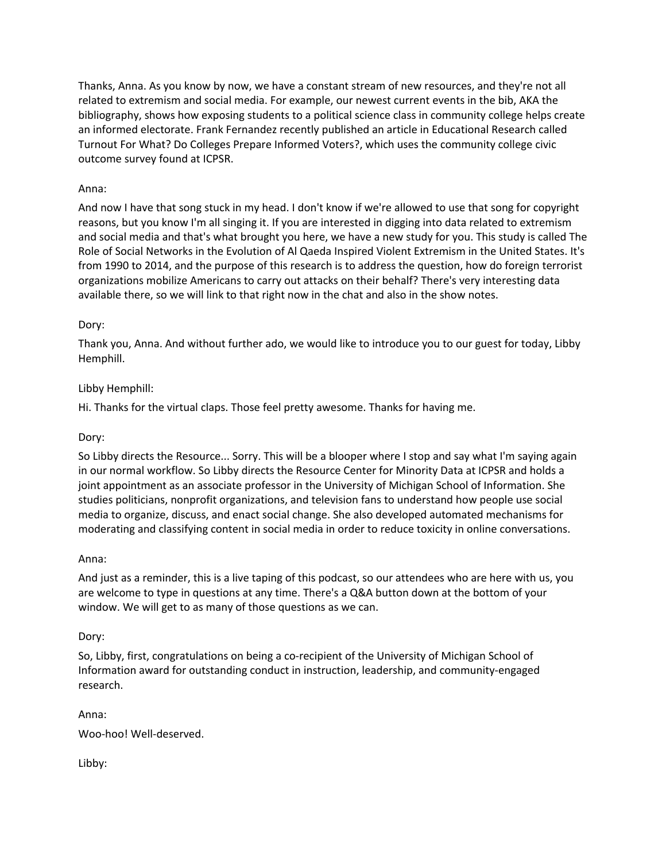Thanks, Anna. As you know by now, we have a constant stream of new resources, and they're not all related to extremism and social media. For example, our newest current events in the bib, AKA the bibliography, shows how exposing students to a political science class in community college helps create an informed electorate. Frank Fernandez recently published an article in Educational Research called Turnout For What? Do Colleges Prepare Informed Voters?, which uses the community college civic outcome survey found at ICPSR.

## Anna:

And now I have that song stuck in my head. I don't know if we're allowed to use that song for copyright reasons, but you know I'm all singing it. If you are interested in digging into data related to extremism and social media and that's what brought you here, we have a new study for you. This study is called The Role of Social Networks in the Evolution of Al Qaeda Inspired Violent Extremism in the United States. It's from 1990 to 2014, and the purpose of this research is to address the question, how do foreign terrorist organizations mobilize Americans to carry out attacks on their behalf? There's very interesting data available there, so we will link to that right now in the chat and also in the show notes.

#### Dory:

Thank you, Anna. And without further ado, we would like to introduce you to our guest for today, Libby Hemphill.

## Libby Hemphill:

Hi. Thanks for the virtual claps. Those feel pretty awesome. Thanks for having me.

#### Dory:

So Libby directs the Resource... Sorry. This will be a blooper where I stop and say what I'm saying again in our normal workflow. So Libby directs the Resource Center for Minority Data at ICPSR and holds a joint appointment as an associate professor in the University of Michigan School of Information. She studies politicians, nonprofit organizations, and television fans to understand how people use social media to organize, discuss, and enact social change. She also developed automated mechanisms for moderating and classifying content in social media in order to reduce toxicity in online conversations.

#### Anna:

And just as a reminder, this is a live taping of this podcast, so our attendees who are here with us, you are welcome to type in questions at any time. There's a Q&A button down at the bottom of your window. We will get to as many of those questions as we can.

#### Dory:

So, Libby, first, congratulations on being a co-recipient of the University of Michigan School of Information award for outstanding conduct in instruction, leadership, and community-engaged research.

Anna:

Woo-hoo! Well-deserved.

Libby: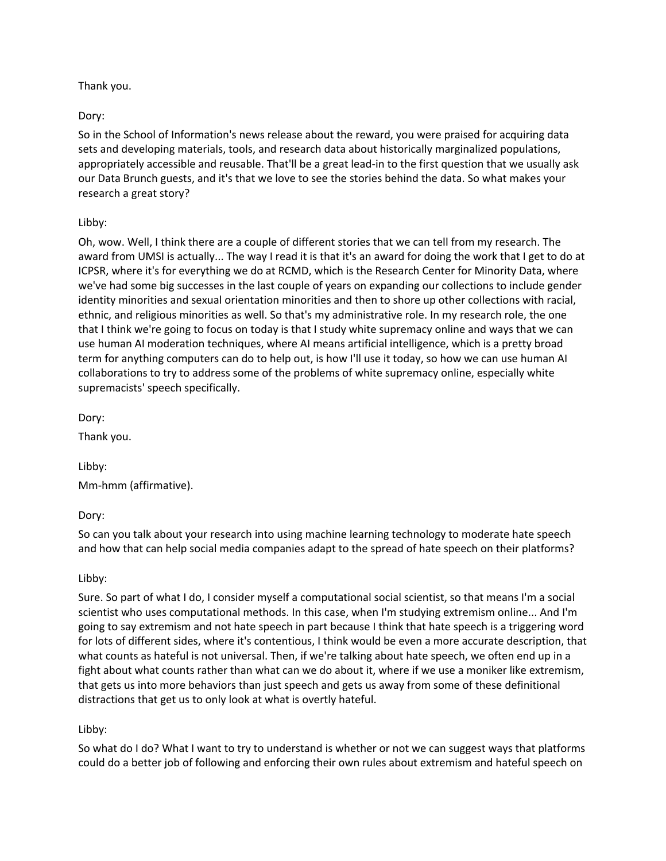#### Thank you.

#### Dory:

So in the School of Information's news release about the reward, you were praised for acquiring data sets and developing materials, tools, and research data about historically marginalized populations, appropriately accessible and reusable. That'll be a great lead-in to the first question that we usually ask our Data Brunch guests, and it's that we love to see the stories behind the data. So what makes your research a great story?

## Libby:

Oh, wow. Well, I think there are a couple of different stories that we can tell from my research. The award from UMSI is actually... The way I read it is that it's an award for doing the work that I get to do at ICPSR, where it's for everything we do at RCMD, which is the Research Center for Minority Data, where we've had some big successes in the last couple of years on expanding our collections to include gender identity minorities and sexual orientation minorities and then to shore up other collections with racial, ethnic, and religious minorities as well. So that's my administrative role. In my research role, the one that I think we're going to focus on today is that I study white supremacy online and ways that we can use human AI moderation techniques, where AI means artificial intelligence, which is a pretty broad term for anything computers can do to help out, is how I'll use it today, so how we can use human AI collaborations to try to address some of the problems of white supremacy online, especially white supremacists' speech specifically.

Dory:

Thank you.

Libby: Mm-hmm (affirmative).

Dory:

So can you talk about your research into using machine learning technology to moderate hate speech and how that can help social media companies adapt to the spread of hate speech on their platforms?

Libby:

Sure. So part of what I do, I consider myself a computational social scientist, so that means I'm a social scientist who uses computational methods. In this case, when I'm studying extremism online... And I'm going to say extremism and not hate speech in part because I think that hate speech is a triggering word for lots of different sides, where it's contentious, I think would be even a more accurate description, that what counts as hateful is not universal. Then, if we're talking about hate speech, we often end up in a fight about what counts rather than what can we do about it, where if we use a moniker like extremism, that gets us into more behaviors than just speech and gets us away from some of these definitional distractions that get us to only look at what is overtly hateful.

# Libby:

So what do I do? What I want to try to understand is whether or not we can suggest ways that platforms could do a better job of following and enforcing their own rules about extremism and hateful speech on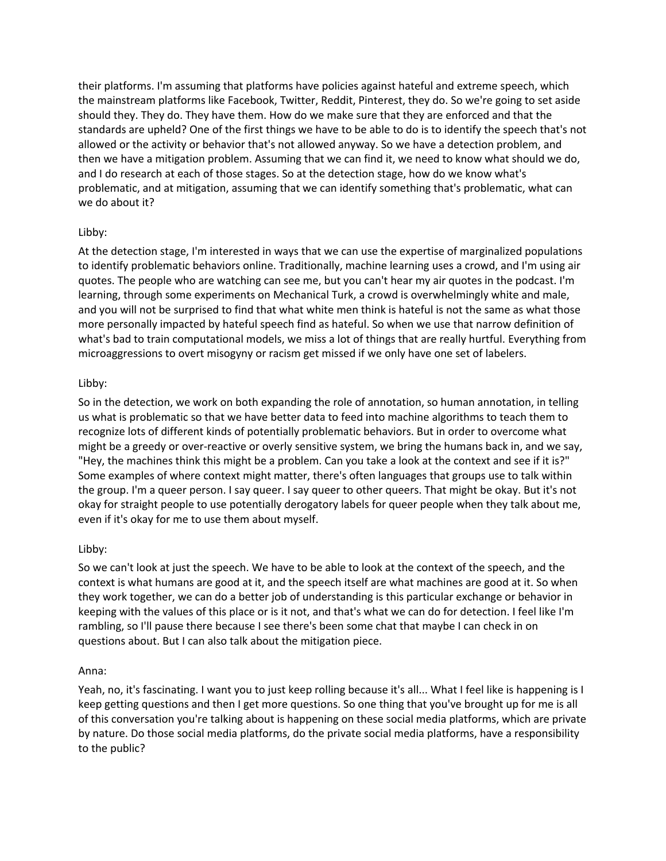their platforms. I'm assuming that platforms have policies against hateful and extreme speech, which the mainstream platforms like Facebook, Twitter, Reddit, Pinterest, they do. So we're going to set aside should they. They do. They have them. How do we make sure that they are enforced and that the standards are upheld? One of the first things we have to be able to do is to identify the speech that's not allowed or the activity or behavior that's not allowed anyway. So we have a detection problem, and then we have a mitigation problem. Assuming that we can find it, we need to know what should we do, and I do research at each of those stages. So at the detection stage, how do we know what's problematic, and at mitigation, assuming that we can identify something that's problematic, what can we do about it?

#### Libby:

At the detection stage, I'm interested in ways that we can use the expertise of marginalized populations to identify problematic behaviors online. Traditionally, machine learning uses a crowd, and I'm using air quotes. The people who are watching can see me, but you can't hear my air quotes in the podcast. I'm learning, through some experiments on Mechanical Turk, a crowd is overwhelmingly white and male, and you will not be surprised to find that what white men think is hateful is not the same as what those more personally impacted by hateful speech find as hateful. So when we use that narrow definition of what's bad to train computational models, we miss a lot of things that are really hurtful. Everything from microaggressions to overt misogyny or racism get missed if we only have one set of labelers.

## Libby:

So in the detection, we work on both expanding the role of annotation, so human annotation, in telling us what is problematic so that we have better data to feed into machine algorithms to teach them to recognize lots of different kinds of potentially problematic behaviors. But in order to overcome what might be a greedy or over-reactive or overly sensitive system, we bring the humans back in, and we say, "Hey, the machines think this might be a problem. Can you take a look at the context and see if it is?" Some examples of where context might matter, there's often languages that groups use to talk within the group. I'm a queer person. I say queer. I say queer to other queers. That might be okay. But it's not okay for straight people to use potentially derogatory labels for queer people when they talk about me, even if it's okay for me to use them about myself.

# Libby:

So we can't look at just the speech. We have to be able to look at the context of the speech, and the context is what humans are good at it, and the speech itself are what machines are good at it. So when they work together, we can do a better job of understanding is this particular exchange or behavior in keeping with the values of this place or is it not, and that's what we can do for detection. I feel like I'm rambling, so I'll pause there because I see there's been some chat that maybe I can check in on questions about. But I can also talk about the mitigation piece.

# Anna:

Yeah, no, it's fascinating. I want you to just keep rolling because it's all... What I feel like is happening is I keep getting questions and then I get more questions. So one thing that you've brought up for me is all of this conversation you're talking about is happening on these social media platforms, which are private by nature. Do those social media platforms, do the private social media platforms, have a responsibility to the public?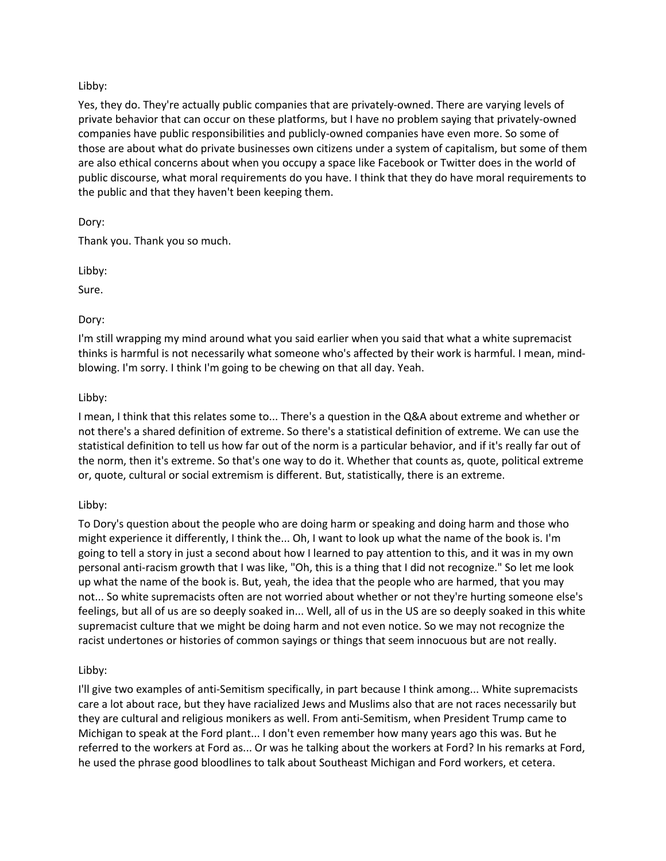#### Libby:

Yes, they do. They're actually public companies that are privately-owned. There are varying levels of private behavior that can occur on these platforms, but I have no problem saying that privately-owned companies have public responsibilities and publicly-owned companies have even more. So some of those are about what do private businesses own citizens under a system of capitalism, but some of them are also ethical concerns about when you occupy a space like Facebook or Twitter does in the world of public discourse, what moral requirements do you have. I think that they do have moral requirements to the public and that they haven't been keeping them.

#### Dory:

Thank you. Thank you so much.

Libby:

Sure.

## Dory:

I'm still wrapping my mind around what you said earlier when you said that what a white supremacist thinks is harmful is not necessarily what someone who's affected by their work is harmful. I mean, mindblowing. I'm sorry. I think I'm going to be chewing on that all day. Yeah.

## Libby:

I mean, I think that this relates some to... There's a question in the Q&A about extreme and whether or not there's a shared definition of extreme. So there's a statistical definition of extreme. We can use the statistical definition to tell us how far out of the norm is a particular behavior, and if it's really far out of the norm, then it's extreme. So that's one way to do it. Whether that counts as, quote, political extreme or, quote, cultural or social extremism is different. But, statistically, there is an extreme.

#### Libby:

To Dory's question about the people who are doing harm or speaking and doing harm and those who might experience it differently, I think the... Oh, I want to look up what the name of the book is. I'm going to tell a story in just a second about how I learned to pay attention to this, and it was in my own personal anti-racism growth that I was like, "Oh, this is a thing that I did not recognize." So let me look up what the name of the book is. But, yeah, the idea that the people who are harmed, that you may not... So white supremacists often are not worried about whether or not they're hurting someone else's feelings, but all of us are so deeply soaked in... Well, all of us in the US are so deeply soaked in this white supremacist culture that we might be doing harm and not even notice. So we may not recognize the racist undertones or histories of common sayings or things that seem innocuous but are not really.

#### Libby:

I'll give two examples of anti-Semitism specifically, in part because I think among... White supremacists care a lot about race, but they have racialized Jews and Muslims also that are not races necessarily but they are cultural and religious monikers as well. From anti-Semitism, when President Trump came to Michigan to speak at the Ford plant... I don't even remember how many years ago this was. But he referred to the workers at Ford as... Or was he talking about the workers at Ford? In his remarks at Ford, he used the phrase good bloodlines to talk about Southeast Michigan and Ford workers, et cetera.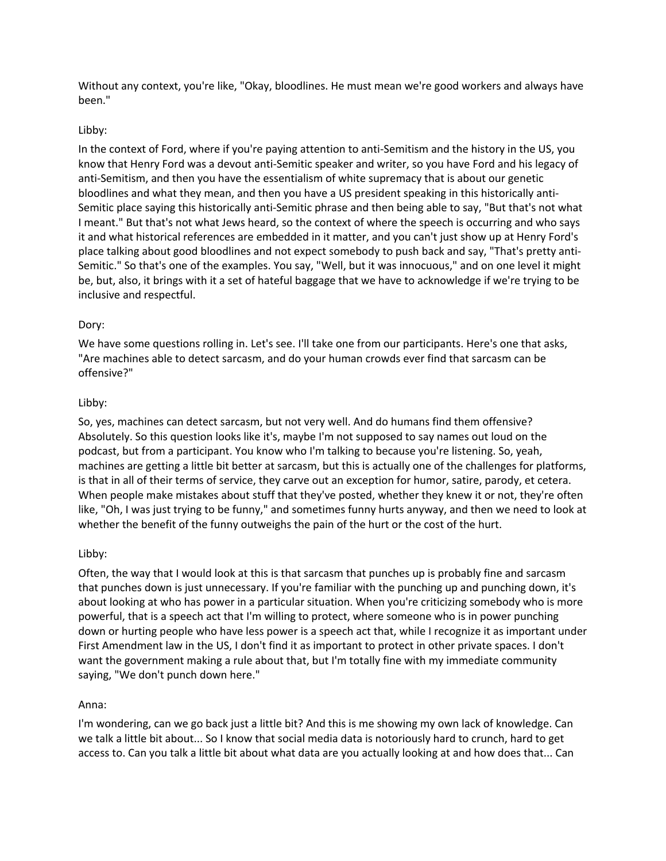Without any context, you're like, "Okay, bloodlines. He must mean we're good workers and always have been."

#### Libby:

In the context of Ford, where if you're paying attention to anti-Semitism and the history in the US, you know that Henry Ford was a devout anti-Semitic speaker and writer, so you have Ford and his legacy of anti-Semitism, and then you have the essentialism of white supremacy that is about our genetic bloodlines and what they mean, and then you have a US president speaking in this historically anti-Semitic place saying this historically anti-Semitic phrase and then being able to say, "But that's not what I meant." But that's not what Jews heard, so the context of where the speech is occurring and who says it and what historical references are embedded in it matter, and you can't just show up at Henry Ford's place talking about good bloodlines and not expect somebody to push back and say, "That's pretty anti-Semitic." So that's one of the examples. You say, "Well, but it was innocuous," and on one level it might be, but, also, it brings with it a set of hateful baggage that we have to acknowledge if we're trying to be inclusive and respectful.

## Dory:

We have some questions rolling in. Let's see. I'll take one from our participants. Here's one that asks, "Are machines able to detect sarcasm, and do your human crowds ever find that sarcasm can be offensive?"

## Libby:

So, yes, machines can detect sarcasm, but not very well. And do humans find them offensive? Absolutely. So this question looks like it's, maybe I'm not supposed to say names out loud on the podcast, but from a participant. You know who I'm talking to because you're listening. So, yeah, machines are getting a little bit better at sarcasm, but this is actually one of the challenges for platforms, is that in all of their terms of service, they carve out an exception for humor, satire, parody, et cetera. When people make mistakes about stuff that they've posted, whether they knew it or not, they're often like, "Oh, I was just trying to be funny," and sometimes funny hurts anyway, and then we need to look at whether the benefit of the funny outweighs the pain of the hurt or the cost of the hurt.

#### Libby:

Often, the way that I would look at this is that sarcasm that punches up is probably fine and sarcasm that punches down is just unnecessary. If you're familiar with the punching up and punching down, it's about looking at who has power in a particular situation. When you're criticizing somebody who is more powerful, that is a speech act that I'm willing to protect, where someone who is in power punching down or hurting people who have less power is a speech act that, while I recognize it as important under First Amendment law in the US, I don't find it as important to protect in other private spaces. I don't want the government making a rule about that, but I'm totally fine with my immediate community saying, "We don't punch down here."

#### Anna:

I'm wondering, can we go back just a little bit? And this is me showing my own lack of knowledge. Can we talk a little bit about... So I know that social media data is notoriously hard to crunch, hard to get access to. Can you talk a little bit about what data are you actually looking at and how does that... Can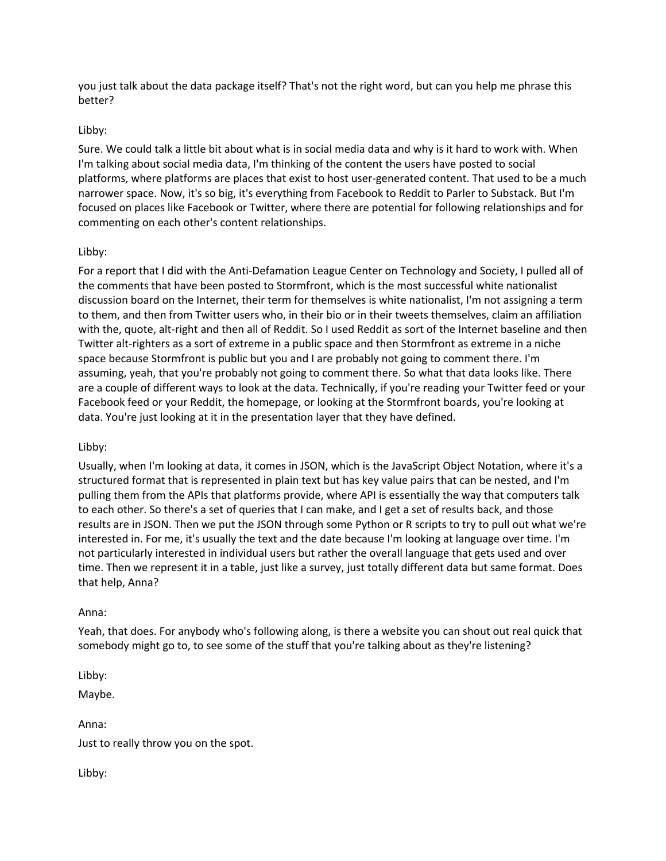you just talk about the data package itself? That's not the right word, but can you help me phrase this better?

#### Libby:

Sure. We could talk a little bit about what is in social media data and why is it hard to work with. When I'm talking about social media data, I'm thinking of the content the users have posted to social platforms, where platforms are places that exist to host user-generated content. That used to be a much narrower space. Now, it's so big, it's everything from Facebook to Reddit to Parler to Substack. But I'm focused on places like Facebook or Twitter, where there are potential for following relationships and for commenting on each other's content relationships.

## Libby:

For a report that I did with the Anti-Defamation League Center on Technology and Society, I pulled all of the comments that have been posted to Stormfront, which is the most successful white nationalist discussion board on the Internet, their term for themselves is white nationalist, I'm not assigning a term to them, and then from Twitter users who, in their bio or in their tweets themselves, claim an affiliation with the, quote, alt-right and then all of Reddit. So I used Reddit as sort of the Internet baseline and then Twitter alt-righters as a sort of extreme in a public space and then Stormfront as extreme in a niche space because Stormfront is public but you and I are probably not going to comment there. I'm assuming, yeah, that you're probably not going to comment there. So what that data looks like. There are a couple of different ways to look at the data. Technically, if you're reading your Twitter feed or your Facebook feed or your Reddit, the homepage, or looking at the Stormfront boards, you're looking at data. You're just looking at it in the presentation layer that they have defined.

#### Libby:

Usually, when I'm looking at data, it comes in JSON, which is the JavaScript Object Notation, where it's a structured format that is represented in plain text but has key value pairs that can be nested, and I'm pulling them from the APIs that platforms provide, where API is essentially the way that computers talk to each other. So there's a set of queries that I can make, and I get a set of results back, and those results are in JSON. Then we put the JSON through some Python or R scripts to try to pull out what we're interested in. For me, it's usually the text and the date because I'm looking at language over time. I'm not particularly interested in individual users but rather the overall language that gets used and over time. Then we represent it in a table, just like a survey, just totally different data but same format. Does that help, Anna?

#### Anna:

Yeah, that does. For anybody who's following along, is there a website you can shout out real quick that somebody might go to, to see some of the stuff that you're talking about as they're listening?

Libby:

Maybe.

Anna: Just to really throw you on the spot.

Libby: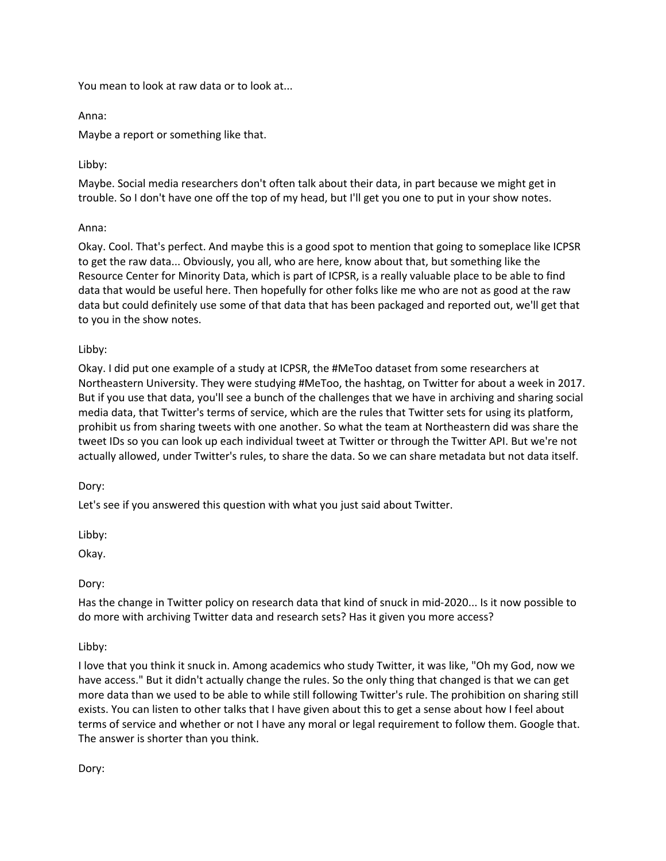You mean to look at raw data or to look at...

Anna:

Maybe a report or something like that.

# Libby:

Maybe. Social media researchers don't often talk about their data, in part because we might get in trouble. So I don't have one off the top of my head, but I'll get you one to put in your show notes.

# Anna:

Okay. Cool. That's perfect. And maybe this is a good spot to mention that going to someplace like ICPSR to get the raw data... Obviously, you all, who are here, know about that, but something like the Resource Center for Minority Data, which is part of ICPSR, is a really valuable place to be able to find data that would be useful here. Then hopefully for other folks like me who are not as good at the raw data but could definitely use some of that data that has been packaged and reported out, we'll get that to you in the show notes.

## Libby:

Okay. I did put one example of a study at ICPSR, the #MeToo dataset from some researchers at Northeastern University. They were studying #MeToo, the hashtag, on Twitter for about a week in 2017. But if you use that data, you'll see a bunch of the challenges that we have in archiving and sharing social media data, that Twitter's terms of service, which are the rules that Twitter sets for using its platform, prohibit us from sharing tweets with one another. So what the team at Northeastern did was share the tweet IDs so you can look up each individual tweet at Twitter or through the Twitter API. But we're not actually allowed, under Twitter's rules, to share the data. So we can share metadata but not data itself.

Dory:

Let's see if you answered this question with what you just said about Twitter.

Libby:

Okay.

Dory:

Has the change in Twitter policy on research data that kind of snuck in mid-2020... Is it now possible to do more with archiving Twitter data and research sets? Has it given you more access?

# Libby:

I love that you think it snuck in. Among academics who study Twitter, it was like, "Oh my God, now we have access." But it didn't actually change the rules. So the only thing that changed is that we can get more data than we used to be able to while still following Twitter's rule. The prohibition on sharing still exists. You can listen to other talks that I have given about this to get a sense about how I feel about terms of service and whether or not I have any moral or legal requirement to follow them. Google that. The answer is shorter than you think.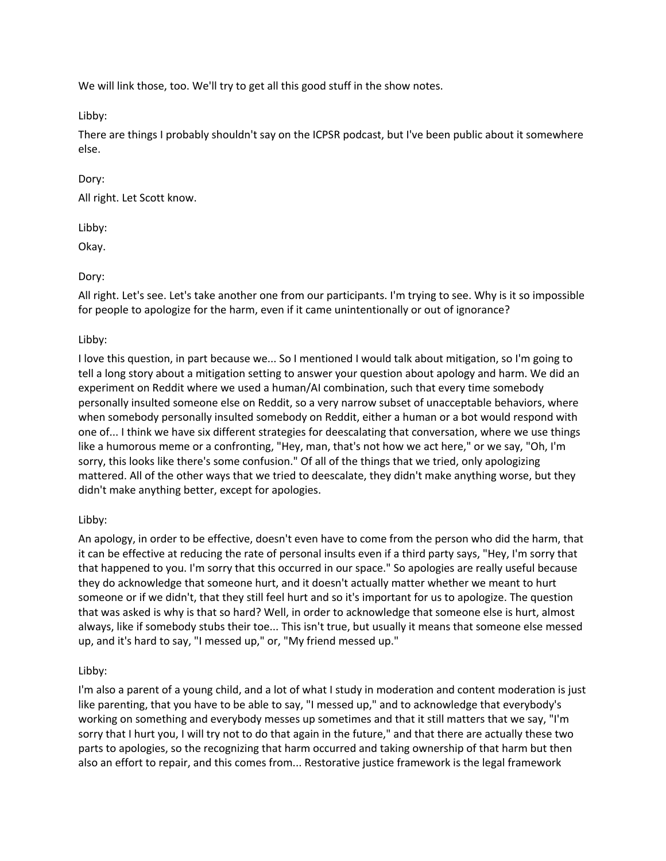We will link those, too. We'll try to get all this good stuff in the show notes.

Libby:

There are things I probably shouldn't say on the ICPSR podcast, but I've been public about it somewhere else.

## Dory:

All right. Let Scott know.

Libby:

Okay.

# Dory:

All right. Let's see. Let's take another one from our participants. I'm trying to see. Why is it so impossible for people to apologize for the harm, even if it came unintentionally or out of ignorance?

## Libby:

I love this question, in part because we... So I mentioned I would talk about mitigation, so I'm going to tell a long story about a mitigation setting to answer your question about apology and harm. We did an experiment on Reddit where we used a human/AI combination, such that every time somebody personally insulted someone else on Reddit, so a very narrow subset of unacceptable behaviors, where when somebody personally insulted somebody on Reddit, either a human or a bot would respond with one of... I think we have six different strategies for deescalating that conversation, where we use things like a humorous meme or a confronting, "Hey, man, that's not how we act here," or we say, "Oh, I'm sorry, this looks like there's some confusion." Of all of the things that we tried, only apologizing mattered. All of the other ways that we tried to deescalate, they didn't make anything worse, but they didn't make anything better, except for apologies.

# Libby:

An apology, in order to be effective, doesn't even have to come from the person who did the harm, that it can be effective at reducing the rate of personal insults even if a third party says, "Hey, I'm sorry that that happened to you. I'm sorry that this occurred in our space." So apologies are really useful because they do acknowledge that someone hurt, and it doesn't actually matter whether we meant to hurt someone or if we didn't, that they still feel hurt and so it's important for us to apologize. The question that was asked is why is that so hard? Well, in order to acknowledge that someone else is hurt, almost always, like if somebody stubs their toe... This isn't true, but usually it means that someone else messed up, and it's hard to say, "I messed up," or, "My friend messed up."

# Libby:

I'm also a parent of a young child, and a lot of what I study in moderation and content moderation is just like parenting, that you have to be able to say, "I messed up," and to acknowledge that everybody's working on something and everybody messes up sometimes and that it still matters that we say, "I'm sorry that I hurt you, I will try not to do that again in the future," and that there are actually these two parts to apologies, so the recognizing that harm occurred and taking ownership of that harm but then also an effort to repair, and this comes from... Restorative justice framework is the legal framework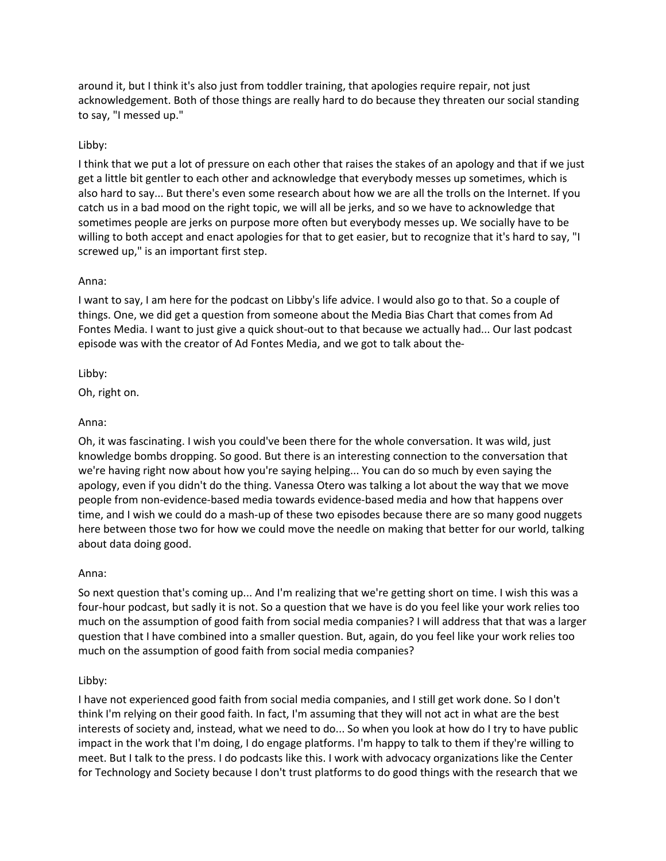around it, but I think it's also just from toddler training, that apologies require repair, not just acknowledgement. Both of those things are really hard to do because they threaten our social standing to say, "I messed up."

## Libby:

I think that we put a lot of pressure on each other that raises the stakes of an apology and that if we just get a little bit gentler to each other and acknowledge that everybody messes up sometimes, which is also hard to say... But there's even some research about how we are all the trolls on the Internet. If you catch us in a bad mood on the right topic, we will all be jerks, and so we have to acknowledge that sometimes people are jerks on purpose more often but everybody messes up. We socially have to be willing to both accept and enact apologies for that to get easier, but to recognize that it's hard to say, "I screwed up," is an important first step.

#### Anna:

I want to say, I am here for the podcast on Libby's life advice. I would also go to that. So a couple of things. One, we did get a question from someone about the Media Bias Chart that comes from Ad Fontes Media. I want to just give a quick shout-out to that because we actually had... Our last podcast episode was with the creator of Ad Fontes Media, and we got to talk about the-

Libby:

Oh, right on.

#### Anna:

Oh, it was fascinating. I wish you could've been there for the whole conversation. It was wild, just knowledge bombs dropping. So good. But there is an interesting connection to the conversation that we're having right now about how you're saying helping... You can do so much by even saying the apology, even if you didn't do the thing. Vanessa Otero was talking a lot about the way that we move people from non-evidence-based media towards evidence-based media and how that happens over time, and I wish we could do a mash-up of these two episodes because there are so many good nuggets here between those two for how we could move the needle on making that better for our world, talking about data doing good.

#### Anna:

So next question that's coming up... And I'm realizing that we're getting short on time. I wish this was a four-hour podcast, but sadly it is not. So a question that we have is do you feel like your work relies too much on the assumption of good faith from social media companies? I will address that that was a larger question that I have combined into a smaller question. But, again, do you feel like your work relies too much on the assumption of good faith from social media companies?

#### Libby:

I have not experienced good faith from social media companies, and I still get work done. So I don't think I'm relying on their good faith. In fact, I'm assuming that they will not act in what are the best interests of society and, instead, what we need to do... So when you look at how do I try to have public impact in the work that I'm doing, I do engage platforms. I'm happy to talk to them if they're willing to meet. But I talk to the press. I do podcasts like this. I work with advocacy organizations like the Center for Technology and Society because I don't trust platforms to do good things with the research that we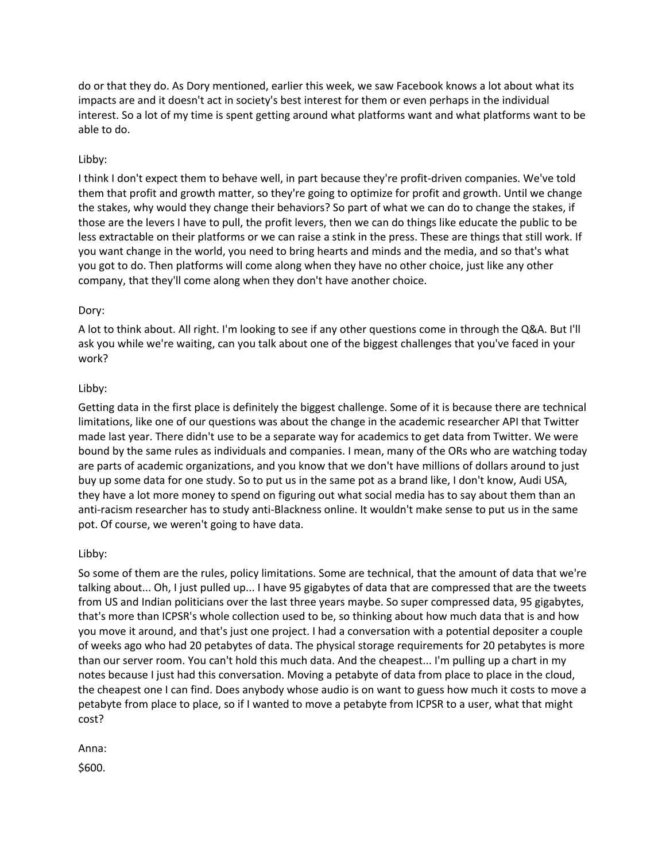do or that they do. As Dory mentioned, earlier this week, we saw Facebook knows a lot about what its impacts are and it doesn't act in society's best interest for them or even perhaps in the individual interest. So a lot of my time is spent getting around what platforms want and what platforms want to be able to do.

## Libby:

I think I don't expect them to behave well, in part because they're profit-driven companies. We've told them that profit and growth matter, so they're going to optimize for profit and growth. Until we change the stakes, why would they change their behaviors? So part of what we can do to change the stakes, if those are the levers I have to pull, the profit levers, then we can do things like educate the public to be less extractable on their platforms or we can raise a stink in the press. These are things that still work. If you want change in the world, you need to bring hearts and minds and the media, and so that's what you got to do. Then platforms will come along when they have no other choice, just like any other company, that they'll come along when they don't have another choice.

#### Dory:

A lot to think about. All right. I'm looking to see if any other questions come in through the Q&A. But I'll ask you while we're waiting, can you talk about one of the biggest challenges that you've faced in your work?

#### Libby:

Getting data in the first place is definitely the biggest challenge. Some of it is because there are technical limitations, like one of our questions was about the change in the academic researcher API that Twitter made last year. There didn't use to be a separate way for academics to get data from Twitter. We were bound by the same rules as individuals and companies. I mean, many of the ORs who are watching today are parts of academic organizations, and you know that we don't have millions of dollars around to just buy up some data for one study. So to put us in the same pot as a brand like, I don't know, Audi USA, they have a lot more money to spend on figuring out what social media has to say about them than an anti-racism researcher has to study anti-Blackness online. It wouldn't make sense to put us in the same pot. Of course, we weren't going to have data.

#### Libby:

So some of them are the rules, policy limitations. Some are technical, that the amount of data that we're talking about... Oh, I just pulled up... I have 95 gigabytes of data that are compressed that are the tweets from US and Indian politicians over the last three years maybe. So super compressed data, 95 gigabytes, that's more than ICPSR's whole collection used to be, so thinking about how much data that is and how you move it around, and that's just one project. I had a conversation with a potential depositer a couple of weeks ago who had 20 petabytes of data. The physical storage requirements for 20 petabytes is more than our server room. You can't hold this much data. And the cheapest... I'm pulling up a chart in my notes because I just had this conversation. Moving a petabyte of data from place to place in the cloud, the cheapest one I can find. Does anybody whose audio is on want to guess how much it costs to move a petabyte from place to place, so if I wanted to move a petabyte from ICPSR to a user, what that might cost?

Anna:

\$600.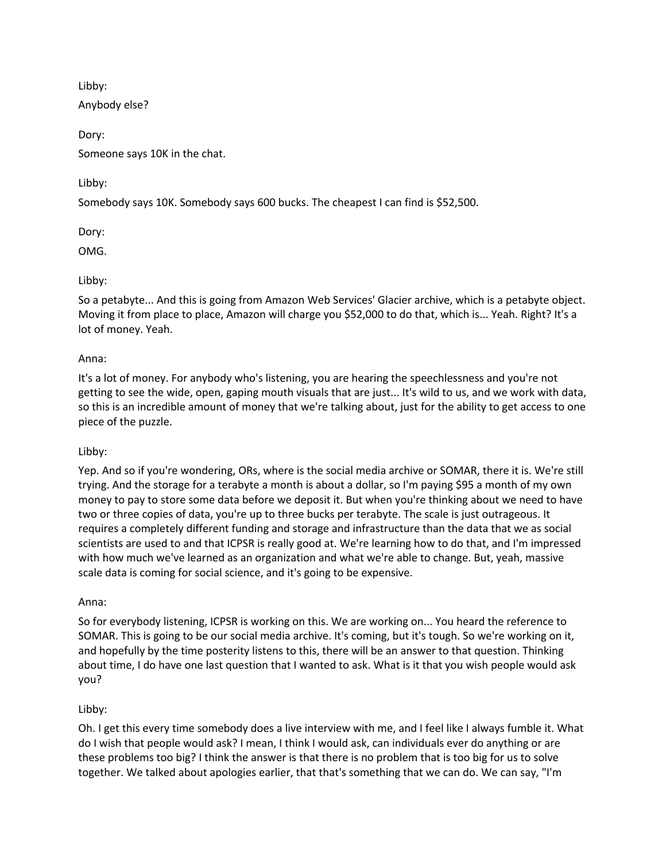Libby:

Anybody else?

Dory: Someone says 10K in the chat.

Libby:

Somebody says 10K. Somebody says 600 bucks. The cheapest I can find is \$52,500.

Dory:

OMG.

Libby:

So a petabyte... And this is going from Amazon Web Services' Glacier archive, which is a petabyte object. Moving it from place to place, Amazon will charge you \$52,000 to do that, which is... Yeah. Right? It's a lot of money. Yeah.

## Anna:

It's a lot of money. For anybody who's listening, you are hearing the speechlessness and you're not getting to see the wide, open, gaping mouth visuals that are just... It's wild to us, and we work with data, so this is an incredible amount of money that we're talking about, just for the ability to get access to one piece of the puzzle.

#### Libby:

Yep. And so if you're wondering, ORs, where is the social media archive or SOMAR, there it is. We're still trying. And the storage for a terabyte a month is about a dollar, so I'm paying \$95 a month of my own money to pay to store some data before we deposit it. But when you're thinking about we need to have two or three copies of data, you're up to three bucks per terabyte. The scale is just outrageous. It requires a completely different funding and storage and infrastructure than the data that we as social scientists are used to and that ICPSR is really good at. We're learning how to do that, and I'm impressed with how much we've learned as an organization and what we're able to change. But, yeah, massive scale data is coming for social science, and it's going to be expensive.

#### Anna:

So for everybody listening, ICPSR is working on this. We are working on... You heard the reference to SOMAR. This is going to be our social media archive. It's coming, but it's tough. So we're working on it, and hopefully by the time posterity listens to this, there will be an answer to that question. Thinking about time, I do have one last question that I wanted to ask. What is it that you wish people would ask you?

# Libby:

Oh. I get this every time somebody does a live interview with me, and I feel like I always fumble it. What do I wish that people would ask? I mean, I think I would ask, can individuals ever do anything or are these problems too big? I think the answer is that there is no problem that is too big for us to solve together. We talked about apologies earlier, that that's something that we can do. We can say, "I'm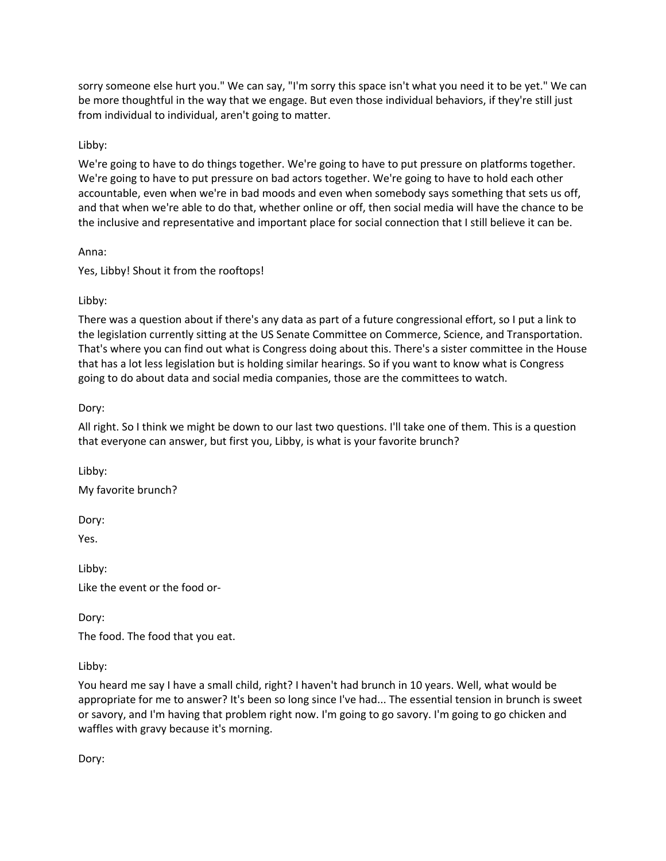sorry someone else hurt you." We can say, "I'm sorry this space isn't what you need it to be yet." We can be more thoughtful in the way that we engage. But even those individual behaviors, if they're still just from individual to individual, aren't going to matter.

# Libby:

We're going to have to do things together. We're going to have to put pressure on platforms together. We're going to have to put pressure on bad actors together. We're going to have to hold each other accountable, even when we're in bad moods and even when somebody says something that sets us off, and that when we're able to do that, whether online or off, then social media will have the chance to be the inclusive and representative and important place for social connection that I still believe it can be.

Anna:

Yes, Libby! Shout it from the rooftops!

## Libby:

There was a question about if there's any data as part of a future congressional effort, so I put a link to the legislation currently sitting at the US Senate Committee on Commerce, Science, and Transportation. That's where you can find out what is Congress doing about this. There's a sister committee in the House that has a lot less legislation but is holding similar hearings. So if you want to know what is Congress going to do about data and social media companies, those are the committees to watch.

# Dory:

All right. So I think we might be down to our last two questions. I'll take one of them. This is a question that everyone can answer, but first you, Libby, is what is your favorite brunch?

Libby:

My favorite brunch?

Dory:

Yes.

Libby: Like the event or the food or-

Dory:

The food. The food that you eat.

Libby:

You heard me say I have a small child, right? I haven't had brunch in 10 years. Well, what would be appropriate for me to answer? It's been so long since I've had... The essential tension in brunch is sweet or savory, and I'm having that problem right now. I'm going to go savory. I'm going to go chicken and waffles with gravy because it's morning.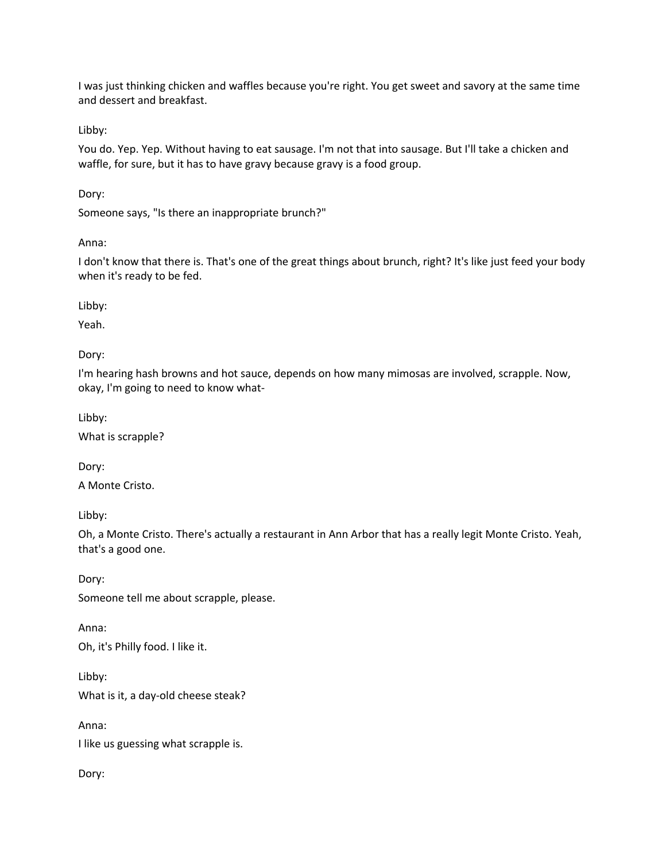I was just thinking chicken and waffles because you're right. You get sweet and savory at the same time and dessert and breakfast.

Libby:

You do. Yep. Yep. Without having to eat sausage. I'm not that into sausage. But I'll take a chicken and waffle, for sure, but it has to have gravy because gravy is a food group.

Dory:

Someone says, "Is there an inappropriate brunch?"

Anna:

I don't know that there is. That's one of the great things about brunch, right? It's like just feed your body when it's ready to be fed.

Libby:

Yeah.

Dory:

I'm hearing hash browns and hot sauce, depends on how many mimosas are involved, scrapple. Now, okay, I'm going to need to know what-

Libby:

What is scrapple?

Dory:

A Monte Cristo.

Libby:

Oh, a Monte Cristo. There's actually a restaurant in Ann Arbor that has a really legit Monte Cristo. Yeah, that's a good one.

Dory: Someone tell me about scrapple, please.

Anna:

Oh, it's Philly food. I like it.

Libby:

What is it, a day-old cheese steak?

Anna:

I like us guessing what scrapple is.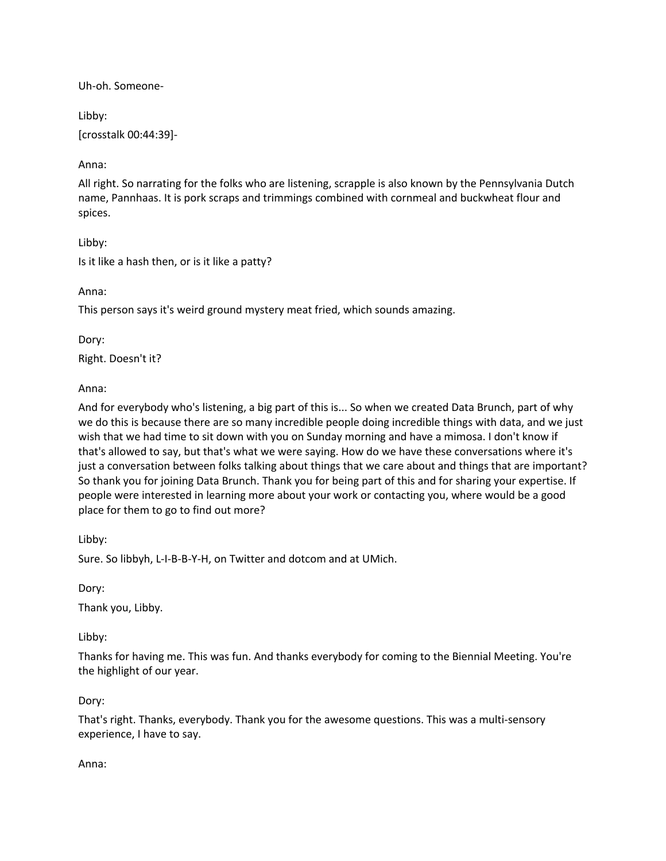Uh-oh. Someone-

Libby:

[crosstalk 00:44:39]-

Anna:

All right. So narrating for the folks who are listening, scrapple is also known by the Pennsylvania Dutch name, Pannhaas. It is pork scraps and trimmings combined with cornmeal and buckwheat flour and spices.

Libby: Is it like a hash then, or is it like a patty?

Anna:

This person says it's weird ground mystery meat fried, which sounds amazing.

Dory:

Right. Doesn't it?

Anna:

And for everybody who's listening, a big part of this is... So when we created Data Brunch, part of why we do this is because there are so many incredible people doing incredible things with data, and we just wish that we had time to sit down with you on Sunday morning and have a mimosa. I don't know if that's allowed to say, but that's what we were saying. How do we have these conversations where it's just a conversation between folks talking about things that we care about and things that are important? So thank you for joining Data Brunch. Thank you for being part of this and for sharing your expertise. If people were interested in learning more about your work or contacting you, where would be a good place for them to go to find out more?

Libby:

Sure. So libbyh, L-I-B-B-Y-H, on Twitter and dotcom and at UMich.

Dory:

Thank you, Libby.

Libby:

Thanks for having me. This was fun. And thanks everybody for coming to the Biennial Meeting. You're the highlight of our year.

#### Dory:

That's right. Thanks, everybody. Thank you for the awesome questions. This was a multi-sensory experience, I have to say.

Anna: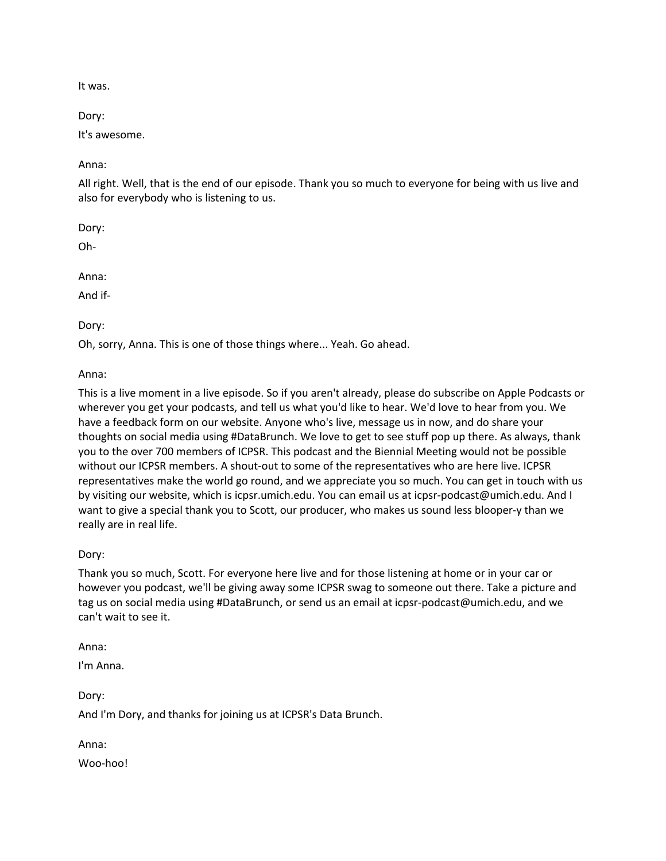It was.

Dory:

It's awesome.

Anna:

All right. Well, that is the end of our episode. Thank you so much to everyone for being with us live and also for everybody who is listening to us.

Dory:

Oh-

Anna:

And if-

Dory:

Oh, sorry, Anna. This is one of those things where... Yeah. Go ahead.

Anna:

This is a live moment in a live episode. So if you aren't already, please do subscribe on Apple Podcasts or wherever you get your podcasts, and tell us what you'd like to hear. We'd love to hear from you. We have a feedback form on our website. Anyone who's live, message us in now, and do share your thoughts on social media using #DataBrunch. We love to get to see stuff pop up there. As always, thank you to the over 700 members of ICPSR. This podcast and the Biennial Meeting would not be possible without our ICPSR members. A shout-out to some of the representatives who are here live. ICPSR representatives make the world go round, and we appreciate you so much. You can get in touch with us by visiting our website, which is icpsr.umich.edu. You can email us at icpsr-podcast@umich.edu. And I want to give a special thank you to Scott, our producer, who makes us sound less blooper-y than we really are in real life.

Dory:

Thank you so much, Scott. For everyone here live and for those listening at home or in your car or however you podcast, we'll be giving away some ICPSR swag to someone out there. Take a picture and tag us on social media using #DataBrunch, or send us an email at icpsr-podcast@umich.edu, and we can't wait to see it.

Anna:

I'm Anna.

Dory: And I'm Dory, and thanks for joining us at ICPSR's Data Brunch.

Anna:

Woo-hoo!